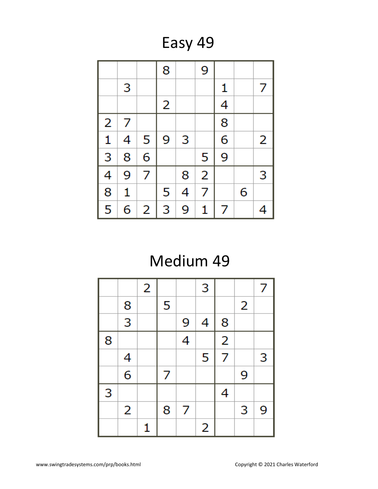Easy 49

|                |   |   | 8 |   | 9              |   |   |   |
|----------------|---|---|---|---|----------------|---|---|---|
|                | 3 |   |   |   |                | 1 |   | 7 |
|                |   |   | 2 |   |                | 4 |   |   |
| $\overline{2}$ | 7 |   |   |   |                | 8 |   |   |
| $\mathbf{1}$   | 4 | 5 | 9 | 3 |                | 6 |   | 2 |
| $\overline{3}$ | 8 | 6 |   |   | 5              | 9 |   |   |
| 4              | 9 | 7 |   | 8 | $\overline{2}$ |   |   | 3 |
| $\overline{8}$ | 1 |   | 5 | 4 | 7              |   | 6 |   |
| 5              | 6 | 2 | 3 | 9 | 1              | 7 |   | 4 |

# Medium 49

|   |                | 2 |   |   | 3 |                         |   | 7 |
|---|----------------|---|---|---|---|-------------------------|---|---|
|   | 8              |   | 5 |   |   |                         | 2 |   |
|   | $\overline{3}$ |   |   | 9 | 4 | 8                       |   |   |
| 8 |                |   |   | 4 |   | $\overline{\mathbf{c}}$ |   |   |
|   | 4              |   |   |   | 5 | 7                       |   | 3 |
|   | $\overline{6}$ |   | 7 |   |   |                         | 9 |   |
| 3 |                |   |   |   |   | 4                       |   |   |
|   | 2              |   | 8 | 7 |   |                         | 3 | 9 |
|   |                | 1 |   |   | 2 |                         |   |   |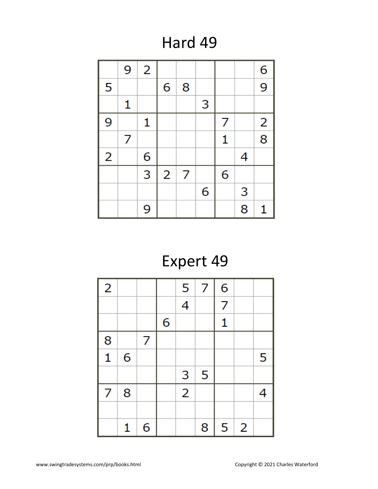## Hard 49

|                | 9 | $\overline{2}$ |                |   |   |   |   | 6                       |
|----------------|---|----------------|----------------|---|---|---|---|-------------------------|
| 5              |   |                | 6              | 8 |   |   |   | 9                       |
|                | 1 |                |                |   | 3 |   |   |                         |
| 9              |   | 1              |                |   |   | 7 |   | $\overline{\mathbf{c}}$ |
|                | 7 |                |                |   |   | 1 |   | $\overline{8}$          |
| $\overline{2}$ |   | 6              |                |   |   |   | 4 |                         |
|                |   | 3              | $\overline{2}$ | 7 |   | 6 |   |                         |
|                |   |                |                |   | 6 |   | 3 |                         |
|                |   | 9              |                |   |   |   | 8 | 1                       |

# Expert 49

| $\overline{2}$ |   |   |   | 5              | $\overline{7}$ | 6              |          |   |
|----------------|---|---|---|----------------|----------------|----------------|----------|---|
|                |   |   |   | $\overline{4}$ |                | $\overline{7}$ |          |   |
|                |   |   | 6 |                |                | 1              |          |   |
| 8              |   | 7 |   |                |                |                |          |   |
| $\mathbf{1}$   | 6 |   |   |                |                |                |          | 5 |
|                |   |   |   | 3              | 5              |                |          |   |
| 7              | 8 |   |   | $\overline{2}$ |                |                |          | 4 |
|                |   |   |   |                |                |                |          |   |
|                | 1 | 6 |   |                | 8              | 5              | $\mid$ 2 |   |